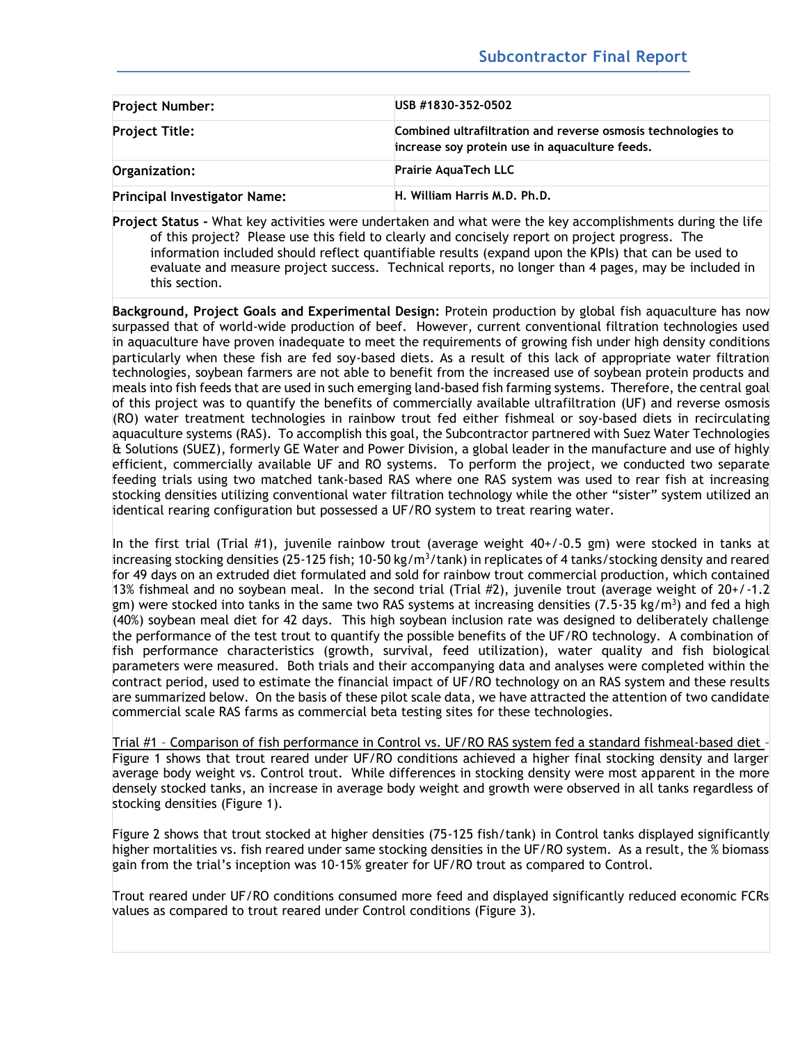| <b>Project Number:</b>              | USB #1830-352-0502<br>Combined ultrafiltration and reverse osmosis technologies to<br>increase soy protein use in aquaculture feeds.<br><b>Prairie AquaTech LLC</b> |  |  |
|-------------------------------------|---------------------------------------------------------------------------------------------------------------------------------------------------------------------|--|--|
| <b>Project Title:</b>               |                                                                                                                                                                     |  |  |
| Organization:                       |                                                                                                                                                                     |  |  |
| <b>Principal Investigator Name:</b> | H. William Harris M.D. Ph.D.                                                                                                                                        |  |  |

**Project Status -** What key activities were undertaken and what were the key accomplishments during the life of this project? Please use this field to clearly and concisely report on project progress. The information included should reflect quantifiable results (expand upon the KPIs) that can be used to evaluate and measure project success. Technical reports, no longer than 4 pages, may be included in this section.

**Background, Project Goals and Experimental Design:** Protein production by global fish aquaculture has now surpassed that of world-wide production of beef. However, current conventional filtration technologies used in aquaculture have proven inadequate to meet the requirements of growing fish under high density conditions particularly when these fish are fed soy-based diets. As a result of this lack of appropriate water filtration technologies, soybean farmers are not able to benefit from the increased use of soybean protein products and meals into fish feeds that are used in such emerging land-based fish farming systems. Therefore, the central goal of this project was to quantify the benefits of commercially available ultrafiltration (UF) and reverse osmosis (RO) water treatment technologies in rainbow trout fed either fishmeal or soy-based diets in recirculating aquaculture systems (RAS). To accomplish this goal, the Subcontractor partnered with Suez Water Technologies & Solutions (SUEZ), formerly GE Water and Power Division, a global leader in the manufacture and use of highly efficient, commercially available UF and RO systems. To perform the project, we conducted two separate feeding trials using two matched tank-based RAS where one RAS system was used to rear fish at increasing stocking densities utilizing conventional water filtration technology while the other "sister" system utilized an identical rearing configuration but possessed a UF/RO system to treat rearing water.

In the first trial (Trial #1), juvenile rainbow trout (average weight  $40+/0.5$  gm) were stocked in tanks at increasing stocking densities (25-125 fish; 10-50 kg/m<sup>3</sup>/tank) in replicates of 4 tanks/stocking density and reared for 49 days on an extruded diet formulated and sold for rainbow trout commercial production, which contained 13% fishmeal and no soybean meal. In the second trial (Trial #2), juvenile trout (average weight of  $20+/1.2$ gm) were stocked into tanks in the same two RAS systems at increasing densities (7.5-35 kg/m<sup>3</sup>) and fed a high (40%) soybean meal diet for 42 days. This high soybean inclusion rate was designed to deliberately challenge the performance of the test trout to quantify the possible benefits of the UF/RO technology. A combination of fish performance characteristics (growth, survival, feed utilization), water quality and fish biological parameters were measured. Both trials and their accompanying data and analyses were completed within the contract period, used to estimate the financial impact of UF/RO technology on an RAS system and these results are summarized below. On the basis of these pilot scale data, we have attracted the attention of two candidate commercial scale RAS farms as commercial beta testing sites for these technologies.

Trial #1 – Comparison of fish performance in Control vs. UF/RO RAS system fed a standard fishmeal-based diet – Figure 1 shows that trout reared under UF/RO conditions achieved a higher final stocking density and larger average body weight vs. Control trout. While differences in stocking density were most apparent in the more densely stocked tanks, an increase in average body weight and growth were observed in all tanks regardless of stocking densities (Figure 1).

Figure 2 shows that trout stocked at higher densities (75-125 fish/tank) in Control tanks displayed significantly higher mortalities vs. fish reared under same stocking densities in the UF/RO system. As a result, the % biomass gain from the trial's inception was 10-15% greater for UF/RO trout as compared to Control.

Trout reared under UF/RO conditions consumed more feed and displayed significantly reduced economic FCRs values as compared to trout reared under Control conditions (Figure 3).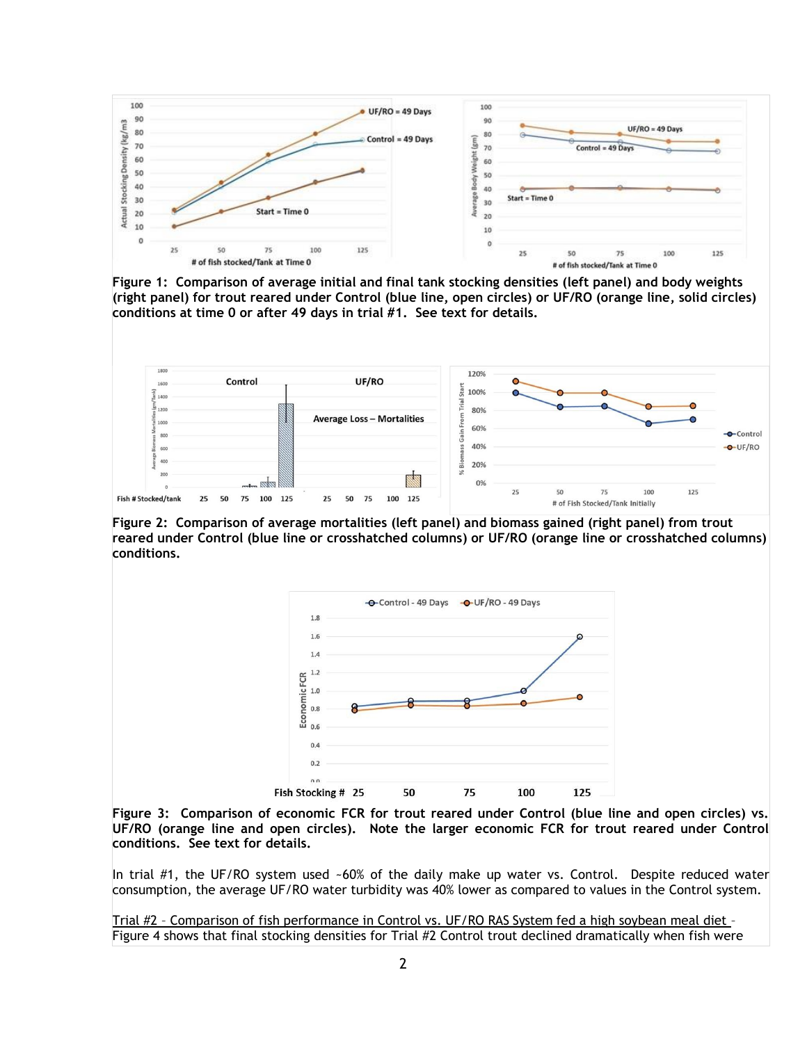

**Figure 1: Comparison of average initial and final tank stocking densities (left panel) and body weights (right panel) for trout reared under Control (blue line, open circles) or UF/RO (orange line, solid circles) conditions at time 0 or after 49 days in trial #1. See text for details.** 



**Figure 2: Comparison of average mortalities (left panel) and biomass gained (right panel) from trout reared under Control (blue line or crosshatched columns) or UF/RO (orange line or crosshatched columns) conditions.** 



**Figure 3: Comparison of economic FCR for trout reared under Control (blue line and open circles) vs. UF/RO (orange line and open circles). Note the larger economic FCR for trout reared under Control conditions. See text for details.** 

In trial #1, the UF/RO system used ~60% of the daily make up water vs. Control. Despite reduced water consumption, the average UF/RO water turbidity was 40% lower as compared to values in the Control system.

Trial #2 – Comparison of fish performance in Control vs. UF/RO RAS System fed a high soybean meal diet – Figure 4 shows that final stocking densities for Trial #2 Control trout declined dramatically when fish were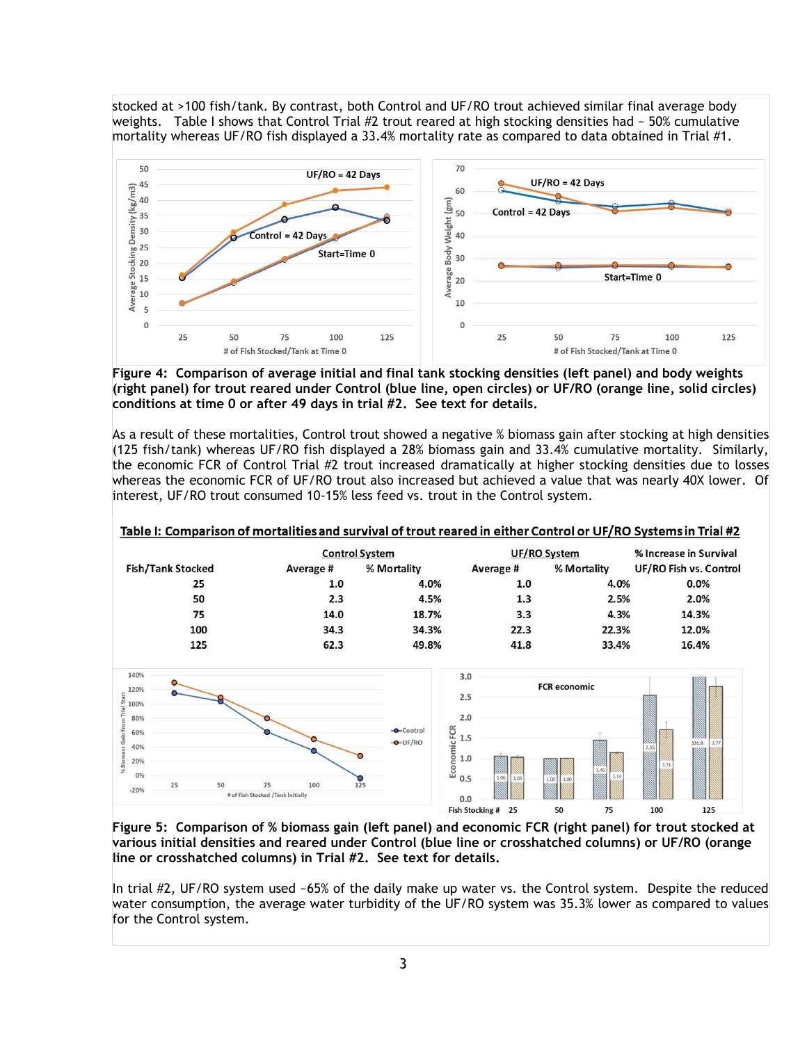stocked at >100 fish/tank. By contrast, both Control and UF/RO trout achieved similar final average body weights. Table I shows that Control Trial #2 trout reared at high stocking densities had  $\sim$  50% cumulative mortality whereas UF/RO fish displayed a 33.4% mortality rate as compared to data obtained in Trial #1.



**Figure 4: Comparison of average initial and final tank stocking densities (left panel) and body weights (right panel) for trout reared under Control (blue line, open circles) or UF/RO (orange line, solid circles) conditions at time 0 or after 49 days in trial #2. See text for details.** 

As a result of these mortalities, Control trout showed a negative % biomass gain after stocking at high densities (125 fish/tank) whereas UF/RO fish displayed a 28% biomass gain and 33.4% cumulative mortality. Similarly, the economic FCR of Control Trial #2 trout increased dramatically at higher stocking densities due to losses whereas the economic FCR of UF/RO trout also increased but achieved a value that was nearly 40X lower. Of interest, UF/RO trout consumed 10-15% less feed vs. trout in the Control system.

|                          | <b>Control System</b> |             | UF/RO System |             | % Increase in Survival |
|--------------------------|-----------------------|-------------|--------------|-------------|------------------------|
| <b>Fish/Tank Stocked</b> | Average #             | % Mortality | Average#     | % Mortality | UF/RO Fish vs. Control |
| 25                       | 1.0                   | 4.0%        | 1.0          | 4.0%        | 0.0%                   |
| 50                       | 2.3                   | 4.5%        | 1.3          | 2.5%        | 2.0%                   |
| 75                       | 14.0                  | 18.7%       | 3.3          | 4.3%        | 14.3%                  |
| 100                      | 34.3                  | 34.3%       | 22.3         | 22.3%       | 12.0%                  |
| 125                      | 62.3                  | 49.8%       | 41.8         | 33.4%       | 16.4%                  |

Table I: Comparison of mortalities and survival of trout reared in either Control or UF/RO Systems in Trial #2



**Figure 5: Comparison of % biomass gain (left panel) and economic FCR (right panel) for trout stocked at various initial densities and reared under Control (blue line or crosshatched columns) or UF/RO (orange line or crosshatched columns) in Trial #2. See text for details.** 

In trial #2, UF/RO system used ~65% of the daily make up water vs. the Control system. Despite the reduced water consumption, the average water turbidity of the UF/RO system was 35.3% lower as compared to values for the Control system.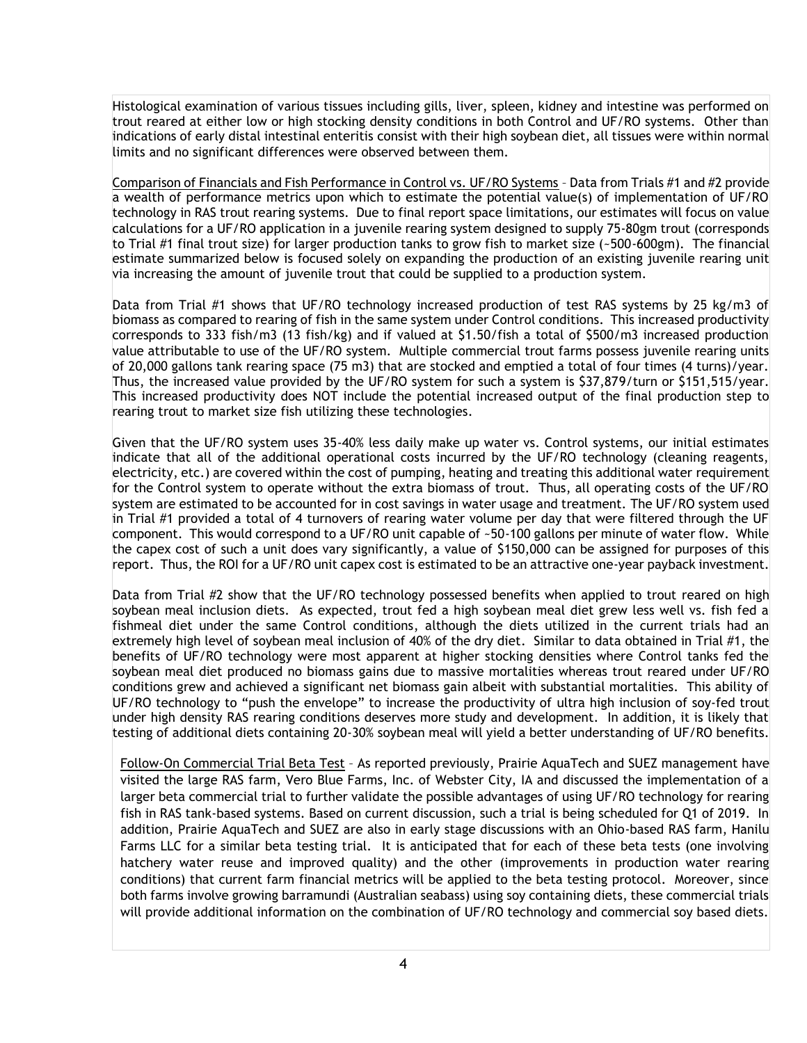Histological examination of various tissues including gills, liver, spleen, kidney and intestine was performed on trout reared at either low or high stocking density conditions in both Control and UF/RO systems. Other than indications of early distal intestinal enteritis consist with their high soybean diet, all tissues were within normal limits and no significant differences were observed between them.

Comparison of Financials and Fish Performance in Control vs. UF/RO Systems – Data from Trials #1 and #2 provide a wealth of performance metrics upon which to estimate the potential value(s) of implementation of UF/RO technology in RAS trout rearing systems. Due to final report space limitations, our estimates will focus on value calculations for a UF/RO application in a juvenile rearing system designed to supply 75-80gm trout (corresponds to Trial #1 final trout size) for larger production tanks to grow fish to market size (~500-600gm). The financial estimate summarized below is focused solely on expanding the production of an existing juvenile rearing unit via increasing the amount of juvenile trout that could be supplied to a production system.

Data from Trial #1 shows that UF/RO technology increased production of test RAS systems by 25 kg/m3 of biomass as compared to rearing of fish in the same system under Control conditions. This increased productivity corresponds to 333 fish/m3 (13 fish/kg) and if valued at \$1.50/fish a total of \$500/m3 increased production value attributable to use of the UF/RO system. Multiple commercial trout farms possess juvenile rearing units of 20,000 gallons tank rearing space (75 m3) that are stocked and emptied a total of four times (4 turns)/year. Thus, the increased value provided by the UF/RO system for such a system is \$37,879/turn or \$151,515/year. This increased productivity does NOT include the potential increased output of the final production step to rearing trout to market size fish utilizing these technologies.

Given that the UF/RO system uses 35-40% less daily make up water vs. Control systems, our initial estimates indicate that all of the additional operational costs incurred by the UF/RO technology (cleaning reagents, electricity, etc.) are covered within the cost of pumping, heating and treating this additional water requirement for the Control system to operate without the extra biomass of trout. Thus, all operating costs of the UF/RO system are estimated to be accounted for in cost savings in water usage and treatment. The UF/RO system used in Trial #1 provided a total of 4 turnovers of rearing water volume per day that were filtered through the UF component. This would correspond to a UF/RO unit capable of ~50-100 gallons per minute of water flow. While the capex cost of such a unit does vary significantly, a value of \$150,000 can be assigned for purposes of this report. Thus, the ROI for a UF/RO unit capex cost is estimated to be an attractive one-year payback investment.

Data from Trial #2 show that the UF/RO technology possessed benefits when applied to trout reared on high soybean meal inclusion diets. As expected, trout fed a high soybean meal diet grew less well vs. fish fed a fishmeal diet under the same Control conditions, although the diets utilized in the current trials had an extremely high level of soybean meal inclusion of 40% of the dry diet. Similar to data obtained in Trial #1, the benefits of UF/RO technology were most apparent at higher stocking densities where Control tanks fed the soybean meal diet produced no biomass gains due to massive mortalities whereas trout reared under UF/RO conditions grew and achieved a significant net biomass gain albeit with substantial mortalities. This ability of UF/RO technology to "push the envelope" to increase the productivity of ultra high inclusion of soy-fed trout under high density RAS rearing conditions deserves more study and development. In addition, it is likely that testing of additional diets containing 20-30% soybean meal will yield a better understanding of UF/RO benefits.

Follow-On Commercial Trial Beta Test – As reported previously, Prairie AquaTech and SUEZ management have visited the large RAS farm, Vero Blue Farms, Inc. of Webster City, IA and discussed the implementation of a larger beta commercial trial to further validate the possible advantages of using UF/RO technology for rearing fish in RAS tank-based systems. Based on current discussion, such a trial is being scheduled for Q1 of 2019. In addition, Prairie AquaTech and SUEZ are also in early stage discussions with an Ohio-based RAS farm, Hanilu Farms LLC for a similar beta testing trial. It is anticipated that for each of these beta tests (one involving hatchery water reuse and improved quality) and the other (improvements in production water rearing conditions) that current farm financial metrics will be applied to the beta testing protocol. Moreover, since both farms involve growing barramundi (Australian seabass) using soy containing diets, these commercial trials will provide additional information on the combination of UF/RO technology and commercial soy based diets.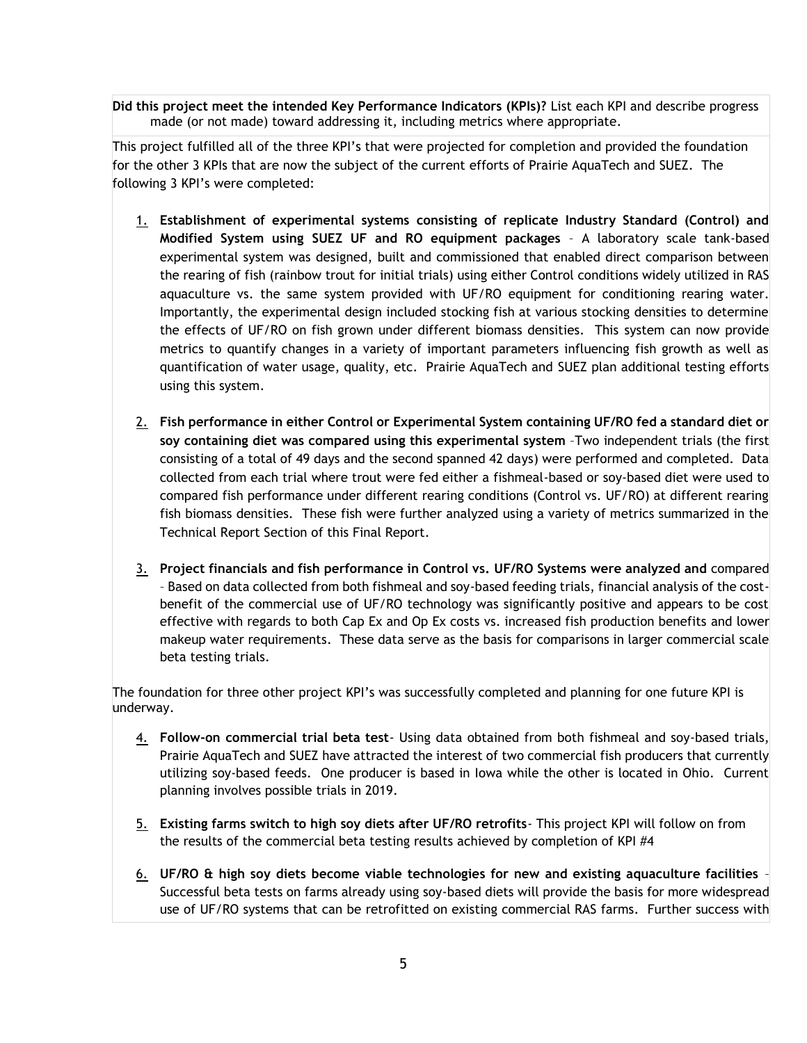**Did this project meet the intended Key Performance Indicators (KPIs)?** List each KPI and describe progress made (or not made) toward addressing it, including metrics where appropriate.

This project fulfilled all of the three KPI's that were projected for completion and provided the foundation for the other 3 KPIs that are now the subject of the current efforts of Prairie AquaTech and SUEZ. The following 3 KPI's were completed:

- 1. **Establishment of experimental systems consisting of replicate Industry Standard (Control) and Modified System using SUEZ UF and RO equipment packages** – A laboratory scale tank-based experimental system was designed, built and commissioned that enabled direct comparison between the rearing of fish (rainbow trout for initial trials) using either Control conditions widely utilized in RAS aquaculture vs. the same system provided with UF/RO equipment for conditioning rearing water. Importantly, the experimental design included stocking fish at various stocking densities to determine the effects of UF/RO on fish grown under different biomass densities. This system can now provide metrics to quantify changes in a variety of important parameters influencing fish growth as well as quantification of water usage, quality, etc. Prairie AquaTech and SUEZ plan additional testing efforts using this system.
- 2. **Fish performance in either Control or Experimental System containing UF/RO fed a standard diet or soy containing diet was compared using this experimental system** –Two independent trials (the first consisting of a total of 49 days and the second spanned 42 days) were performed and completed. Data collected from each trial where trout were fed either a fishmeal-based or soy-based diet were used to compared fish performance under different rearing conditions (Control vs. UF/RO) at different rearing fish biomass densities. These fish were further analyzed using a variety of metrics summarized in the Technical Report Section of this Final Report.
- 3. **Project financials and fish performance in Control vs. UF/RO Systems were analyzed and** compared – Based on data collected from both fishmeal and soy-based feeding trials, financial analysis of the costbenefit of the commercial use of UF/RO technology was significantly positive and appears to be cost effective with regards to both Cap Ex and Op Ex costs vs. increased fish production benefits and lower makeup water requirements. These data serve as the basis for comparisons in larger commercial scale beta testing trials.

The foundation for three other project KPI's was successfully completed and planning for one future KPI is underway.

- 4. **Follow-on commercial trial beta test** Using data obtained from both fishmeal and soy-based trials, Prairie AquaTech and SUEZ have attracted the interest of two commercial fish producers that currently utilizing soy-based feeds. One producer is based in Iowa while the other is located in Ohio. Current planning involves possible trials in 2019.
- 5. **Existing farms switch to high soy diets after UF/RO retrofits** This project KPI will follow on from the results of the commercial beta testing results achieved by completion of KPI #4
- 6. **UF/RO & high soy diets become viable technologies for new and existing aquaculture facilities** Successful beta tests on farms already using soy-based diets will provide the basis for more widespread use of UF/RO systems that can be retrofitted on existing commercial RAS farms. Further success with